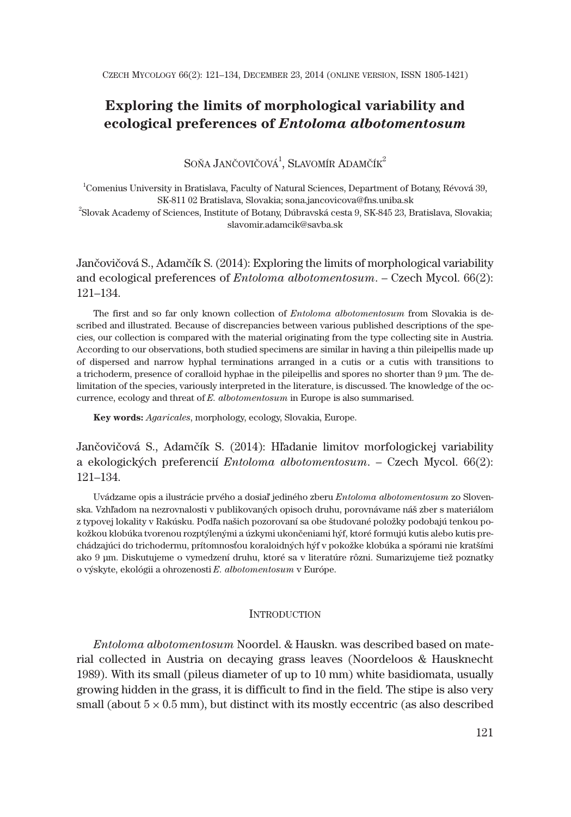# **Exploring the limits of morphological variability and ecological preferences of** *Entoloma albotomentosum*

SOŇA JANČOVIČOVÁ $^1\!$ , Slavomír Adamčík $^2$ 

1 Comenius University in Bratislava, Faculty of Natural Sciences, Department of Botany, Révová 39, SK-811 02 Bratislava, Slovakia; sona.jancovicova@fns.uniba.sk

2 Slovak Academy of Sciences, Institute of Botany, Dúbravská cesta 9, SK-845 23, Bratislava, Slovakia; slavomir.adamcik@savba.sk

Jančovičová S., Adamčík S. (2014): Exploring the limits of morphological variability and ecological preferences of *Entoloma albotomentosum*. – Czech Mycol. 66(2): 121–134.

The first and so far only known collection of *Entoloma albotomentosum* from Slovakia is described and illustrated. Because of discrepancies between various published descriptions of the species, our collection is compared with the material originating from the type collecting site in Austria. According to our observations, both studied specimens are similar in having a thin pileipellis made up of dispersed and narrow hyphal terminations arranged in a cutis or a cutis with transitions to a trichoderm, presence of coralloid hyphae in the pileipellis and spores no shorter than 9 μm. The delimitation of the species, variously interpreted in the literature, is discussed. The knowledge of the occurrence, ecology and threat of *E. albotomentosum* in Europe is also summarised.

**Key words:** *Agaricales*, morphology, ecology, Slovakia, Europe.

Jančovičová S., Adamčík S. (2014): Hľadanie limitov morfologickej variability a ekologických preferencií *Entoloma albotomentosum*. – Czech Mycol. 66(2): 121–134.

Uvádzame opis a ilustrácie prvého a dosiaľ jediného zberu *Entoloma albotomentosum* zo Slovenska. Vzhľadom na nezrovnalosti v publikovaných opisoch druhu, porovnávame náš zber s materiálom z typovej lokality v Rakúsku. Podľa našich pozorovaní sa obe študované položky podobajú tenkou pokožkou klobúka tvorenou rozptýlenými a úzkymi ukončeniami hýf, ktoré formujú kutis alebo kutis prechádzajúci do trichodermu, prítomnosťou koraloidných hýf v pokožke klobúka a spórami nie kratšími ako 9 μm. Diskutujeme o vymedzení druhu, ktoré sa v literatúre rôzni. Sumarizujeme tiež poznatky o výskyte, ekológii a ohrozenosti *E. albotomentosum* v Európe.

### **INTRODUCTION**

*Entoloma albotomentosum* Noordel. & Hauskn. was described based on material collected in Austria on decaying grass leaves (Noordeloos & Hausknecht 1989). With its small (pileus diameter of up to 10 mm) white basidiomata, usually growing hidden in the grass, it is difficult to find in the field. The stipe is also very small (about  $5 \times 0.5$  mm), but distinct with its mostly eccentric (as also described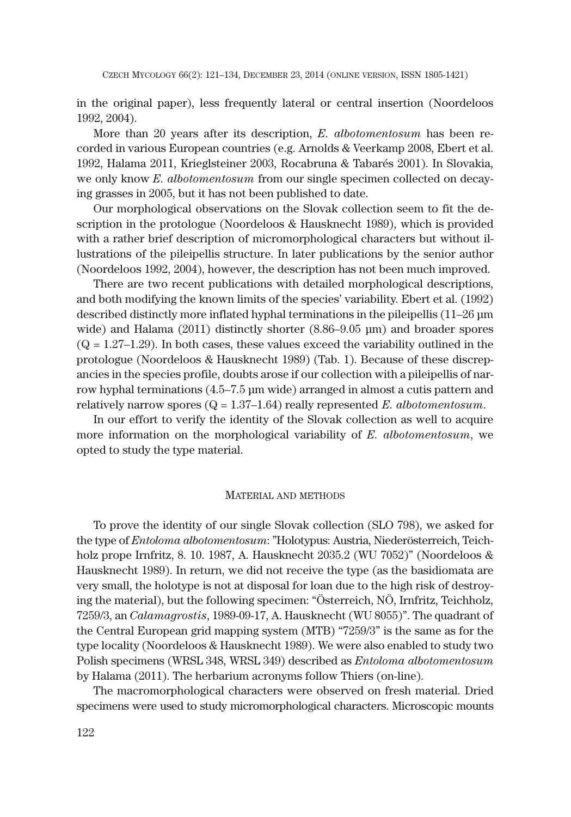in the original paper), less frequently lateral or central insertion (Noordeloos 1992, 2004).

More than 20 years after its description, *E. albotomentosum* has been recorded in various European countries (e.g. Arnolds & Veerkamp 2008, Ebert et al. 1992, Halama 2011, Krieglsteiner 2003, Rocabruna & Tabarés 2001). In Slovakia, we only know *E. albotomentosum* from our single specimen collected on decaying grasses in 2005, but it has not been published to date.

Our morphological observations on the Slovak collection seem to fit the description in the protologue (Noordeloos & Hausknecht 1989), which is provided with a rather brief description of micromorphological characters but without illustrations of the pileipellis structure. In later publications by the senior author (Noordeloos 1992, 2004), however, the description has not been much improved.

There are two recent publications with detailed morphological descriptions, and both modifying the known limits of the species' variability. Ebert et al. (1992) described distinctly more inflated hyphal terminations in the pileipellis (11–26 μm wide) and Halama (2011) distinctly shorter (8.86–9.05 μm) and broader spores  $(Q = 1.27-1.29)$ . In both cases, these values exceed the variability outlined in the protologue (Noordeloos & Hausknecht 1989) (Tab. 1). Because of these discrepancies in the species profile, doubts arose if our collection with a pileipellis of narrow hyphal terminations (4.5–7.5 μm wide) arranged in almost a cutis pattern and relatively narrow spores  $(Q = 1.37-1.64)$  really represented *E. albotomentosum*.

In our effort to verify the identity of the Slovak collection as well to acquire more information on the morphological variability of *E. albotomentosum*, we opted to study the type material.

### MATERIAL AND METHODS

To prove the identity of our single Slovak collection (SLO 798), we asked for the type of *Entoloma albotomentosum*: "Holotypus: Austria, Niederösterreich, Teichholz prope Irnfritz, 8. 10. 1987, A. Hausknecht 2035.2 (WU 7052)" (Noordeloos & Hausknecht 1989). In return, we did not receive the type (as the basidiomata are very small, the holotype is not at disposal for loan due to the high risk of destroying the material), but the following specimen: "Österreich, NÖ, Irnfritz, Teichholz, 7259/3, an *Calamagrostis*, 1989-09-17, A. Hausknecht (WU 8055)". The quadrant of the Central European grid mapping system (MTB) "7259/3" is the same as for the type locality (Noordeloos & Hausknecht 1989). We were also enabled to study two Polish specimens (WRSL 348, WRSL 349) described as *Entoloma albotomentosum* by Halama (2011). The herbarium acronyms follow Thiers (on-line).

The macromorphological characters were observed on fresh material. Dried specimens were used to study micromorphological characters. Microscopic mounts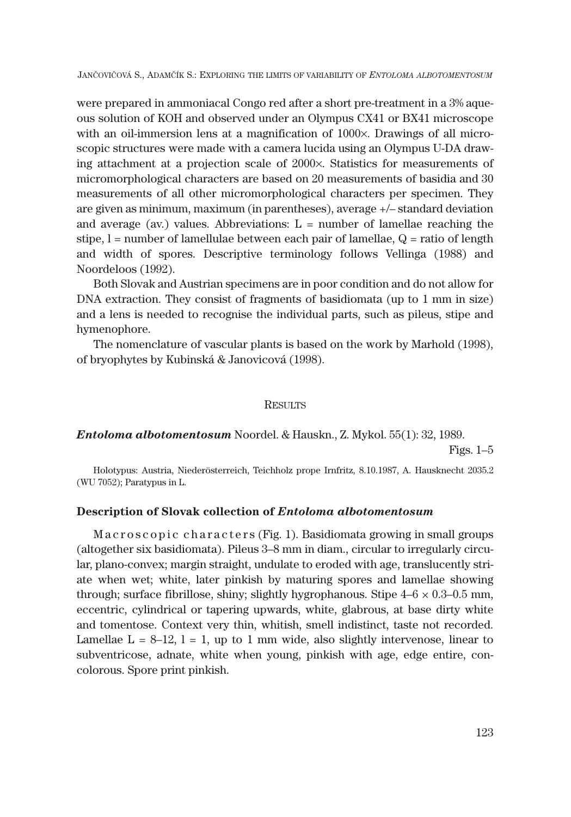were prepared in ammoniacal Congo red after a short pre-treatment in a 3% aqueous solution of KOH and observed under an Olympus CX41 or BX41 microscope with an oil-immersion lens at a magnification of 1000x. Drawings of all microscopic structures were made with a camera lucida using an Olympus U-DA drawing attachment at a projection scale of 2000x. Statistics for measurements of micromorphological characters are based on 20 measurements of basidia and 30 measurements of all other micromorphological characters per specimen. They are given as minimum, maximum (in parentheses), average +/– standard deviation and average (av.) values. Abbreviations:  $L =$  number of lamellae reaching the stipe,  $l =$  number of lamellulae between each pair of lamellae,  $Q =$  ratio of length and width of spores. Descriptive terminology follows Vellinga (1988) and Noordeloos (1992).

Both Slovak and Austrian specimens are in poor condition and do not allow for DNA extraction. They consist of fragments of basidiomata (up to 1 mm in size) and a lens is needed to recognise the individual parts, such as pileus, stipe and hymenophore.

The nomenclature of vascular plants is based on the work by Marhold (1998), of bryophytes by Kubinská & Janovicová (1998).

### **RESULTS**

# *Entoloma albotomentosum* Noordel. & Hauskn., Z. Mykol. 55(1): 32, 1989.

Figs. 1–5

Holotypus: Austria, Niederösterreich, Teichholz prope Irnfritz, 8.10.1987, A. Hausknecht 2035.2 (WU 7052); Paratypus in L.

## **Description of Slovak collection of** *Entoloma albotomentosum*

M a c r o s c o p i c c h a r a c t e r s (Fig. 1). Basidiomata growing in small groups (altogether six basidiomata). Pileus 3–8 mm in diam., circular to irregularly circular, plano-convex; margin straight, undulate to eroded with age, translucently striate when wet; white, later pinkish by maturing spores and lamellae showing through; surface fibrillose, shiny; slightly hygrophanous. Stipe  $4-6 \times 0.3-0.5$  mm, eccentric, cylindrical or tapering upwards, white, glabrous, at base dirty white and tomentose. Context very thin, whitish, smell indistinct, taste not recorded. Lamellae  $L = 8-12$ ,  $l = 1$ , up to 1 mm wide, also slightly intervenose, linear to subventricose, adnate, white when young, pinkish with age, edge entire, concolorous. Spore print pinkish.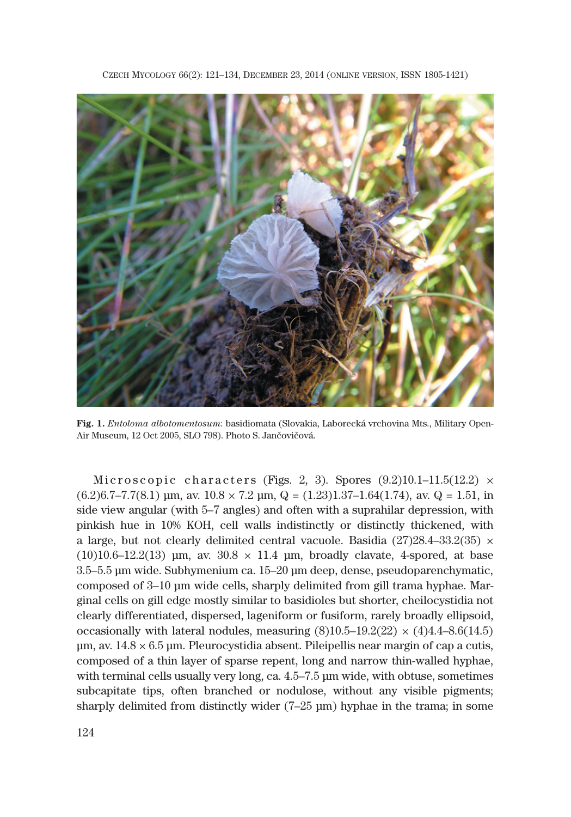

**Fig. 1.** *Entoloma albotomentosum*: basidiomata (Slovakia, Laborecká vrchovina Mts., Military Open-Air Museum, 12 Oct 2005, SLO 798). Photo S. Jančovičová.

Microscopic characters (Figs. 2, 3). Spores  $(9.2)10.1-11.5(12.2) \times$  $(6.2)$ 6.7–7.7(8.1) μm, av.  $10.8 \times 7.2$  μm, Q =  $(1.23)1.37$ – $1.64$  $(1.74)$ , av. Q = 1.51, in side view angular (with 5–7 angles) and often with a suprahilar depression, with pinkish hue in 10% KOH, cell walls indistinctly or distinctly thickened, with a large, but not clearly delimited central vacuole. Basidia (27)28.4–33.2(35)  $\times$  $(10)10.6-12.2(13)$  μm, av.  $30.8 \times 11.4$  μm, broadly clavate, 4-spored, at base 3.5–5.5 μm wide. Subhymenium ca. 15–20 μm deep, dense, pseudoparenchymatic, composed of 3–10 μm wide cells, sharply delimited from gill trama hyphae. Marginal cells on gill edge mostly similar to basidioles but shorter, cheilocystidia not clearly differentiated, dispersed, lageniform or fusiform, rarely broadly ellipsoid, occasionally with lateral nodules, measuring  $(8)10.5-19.2(22) \times (4)4.4-8.6(14.5)$  $\mu$ m, av. 14.8  $\times$  6.5  $\mu$ m. Pleurocystidia absent. Pileipellis near margin of cap a cutis, composed of a thin layer of sparse repent, long and narrow thin-walled hyphae, with terminal cells usually very long, ca. 4.5–7.5 μm wide, with obtuse, sometimes subcapitate tips, often branched or nodulose, without any visible pigments; sharply delimited from distinctly wider (7–25 μm) hyphae in the trama; in some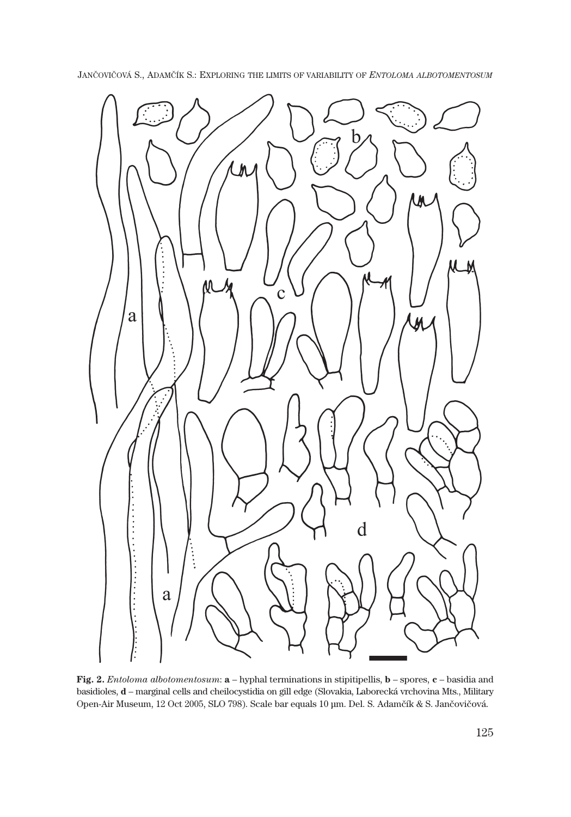

**Fig. 2.** *Entoloma albotomentosum*: **a** – hyphal terminations in stipitipellis, **b** – spores, **c** – basidia and basidioles, **d** – marginal cells and cheilocystidia on gill edge (Slovakia, Laborecká vrchovina Mts., Military Open-Air Museum, 12 Oct 2005, SLO 798). Scale bar equals 10 μm. Del. S. Adamčík & S. Jančovičová.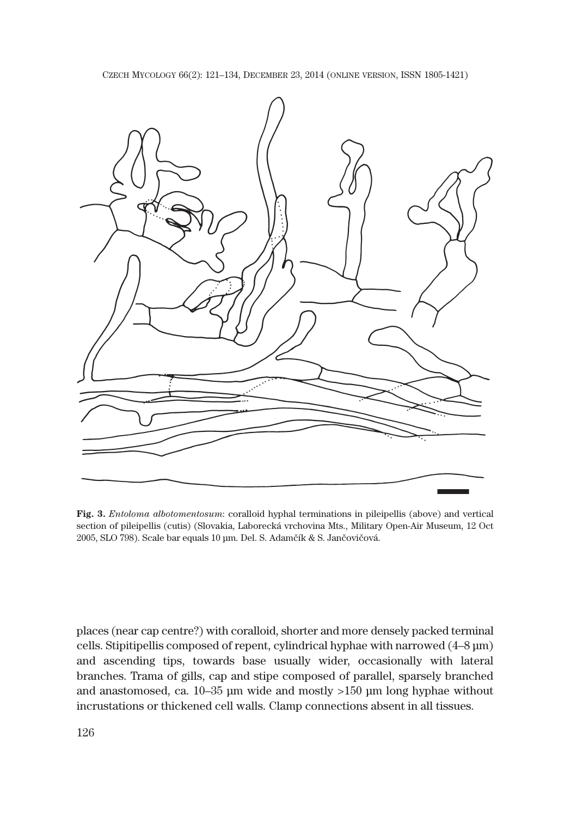

**Fig. 3.** *Entoloma albotomentosum*: coralloid hyphal terminations in pileipellis (above) and vertical section of pileipellis (cutis) (Slovakia, Laborecká vrchovina Mts., Military Open-Air Museum, 12 Oct 2005, SLO 798). Scale bar equals 10 μm. Del. S. Adamčík & S. Jančovičová.

places (near cap centre?) with coralloid, shorter and more densely packed terminal cells. Stipitipellis composed of repent, cylindrical hyphae with narrowed (4–8 μm) and ascending tips, towards base usually wider, occasionally with lateral branches. Trama of gills, cap and stipe composed of parallel, sparsely branched and anastomosed, ca. 10–35 μm wide and mostly >150 μm long hyphae without incrustations or thickened cell walls. Clamp connections absent in all tissues.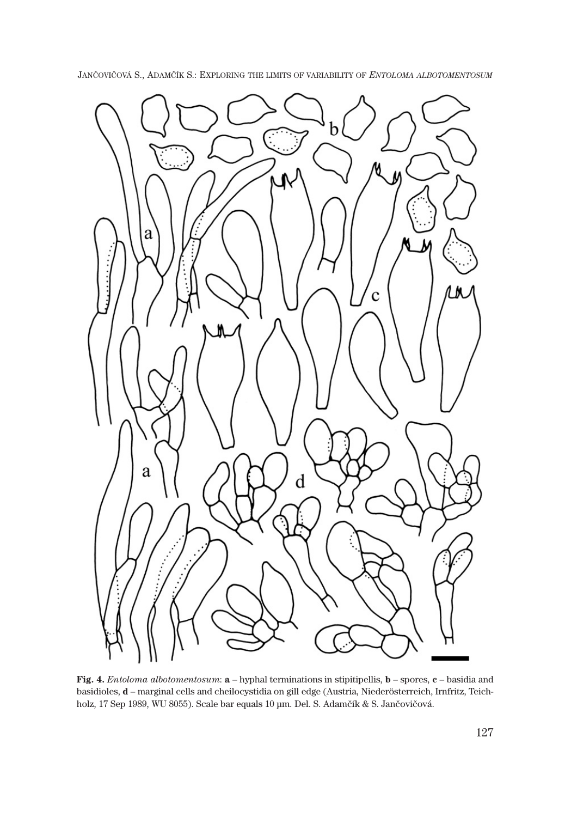

**Fig. 4.** *Entoloma albotomentosum*: **a** – hyphal terminations in stipitipellis, **b** – spores, **c** – basidia and basidioles, **d** – marginal cells and cheilocystidia on gill edge (Austria, Niederösterreich, Irnfritz, Teichholz, 17 Sep 1989, WU 8055). Scale bar equals 10 μm. Del. S. Adamčík & S. Jančovičová.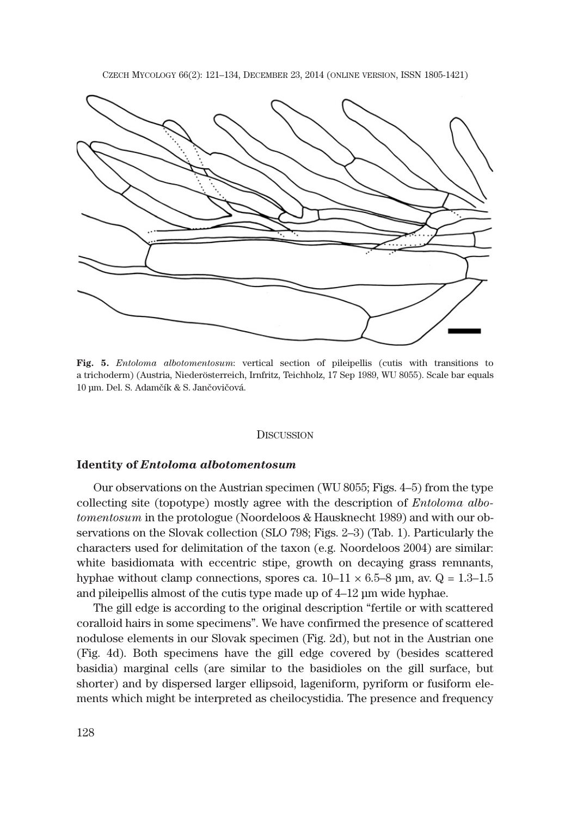

**Fig. 5.** *Entoloma albotomentosum*: vertical section of pileipellis (cutis with transitions to a trichoderm) (Austria, Niederösterreich, Irnfritz, Teichholz, 17 Sep 1989, WU 8055). Scale bar equals 10 μm. Del. S. Adamčík & S. Jančovičová.

#### **DISCUSSION**

# **Identity of** *Entoloma albotomentosum*

Our observations on the Austrian specimen (WU 8055; Figs. 4–5) from the type collecting site (topotype) mostly agree with the description of *Entoloma albotomentosum* in the protologue (Noordeloos & Hausknecht 1989) and with our observations on the Slovak collection (SLO 798; Figs. 2–3) (Tab. 1). Particularly the characters used for delimitation of the taxon (e.g. Noordeloos 2004) are similar: white basidiomata with eccentric stipe, growth on decaying grass remnants, hyphae without clamp connections, spores ca.  $10-11 \times 6.5-8$  µm, av.  $Q = 1.3-1.5$ and pileipellis almost of the cutis type made up of 4–12 μm wide hyphae.

The gill edge is according to the original description "fertile or with scattered coralloid hairs in some specimens". We have confirmed the presence of scattered nodulose elements in our Slovak specimen (Fig. 2d), but not in the Austrian one (Fig. 4d). Both specimens have the gill edge covered by (besides scattered basidia) marginal cells (are similar to the basidioles on the gill surface, but shorter) and by dispersed larger ellipsoid, lageniform, pyriform or fusiform elements which might be interpreted as cheilocystidia. The presence and frequency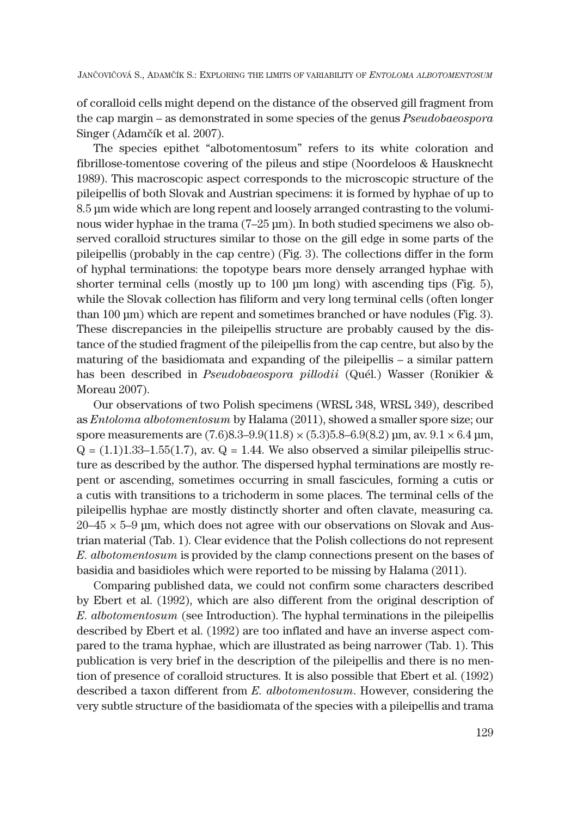of coralloid cells might depend on the distance of the observed gill fragment from the cap margin – as demonstrated in some species of the genus *Pseudobaeospora* Singer (Adamčík et al. 2007).

The species epithet "albotomentosum" refers to its white coloration and fibrillose-tomentose covering of the pileus and stipe (Noordeloos & Hausknecht 1989). This macroscopic aspect corresponds to the microscopic structure of the pileipellis of both Slovak and Austrian specimens: it is formed by hyphae of up to 8.5 μm wide which are long repent and loosely arranged contrasting to the voluminous wider hyphae in the trama (7–25 μm). In both studied specimens we also observed coralloid structures similar to those on the gill edge in some parts of the pileipellis (probably in the cap centre) (Fig. 3). The collections differ in the form of hyphal terminations: the topotype bears more densely arranged hyphae with shorter terminal cells (mostly up to 100 um long) with ascending tips (Fig. 5). while the Slovak collection has filiform and very long terminal cells (often longer than 100 μm) which are repent and sometimes branched or have nodules (Fig. 3). These discrepancies in the pileipellis structure are probably caused by the distance of the studied fragment of the pileipellis from the cap centre, but also by the maturing of the basidiomata and expanding of the pileipellis – a similar pattern has been described in *Pseudobaeospora pillodii* (Quél.) Wasser (Ronikier & Moreau 2007).

Our observations of two Polish specimens (WRSL 348, WRSL 349), described as *Entoloma albotomentosum* by Halama (2011), showed a smaller spore size; our spore measurements are  $(7.6)8.3-9.9(11.8) \times (5.3)5.8-6.9(8.2)$  μm, av.  $9.1 \times 6.4$  μm,  $Q = (1.1)1.33-1.55(1.7)$ , av.  $Q = 1.44$ . We also observed a similar pileipellis structure as described by the author. The dispersed hyphal terminations are mostly repent or ascending, sometimes occurring in small fascicules, forming a cutis or a cutis with transitions to a trichoderm in some places. The terminal cells of the pileipellis hyphae are mostly distinctly shorter and often clavate, measuring ca.  $20-45 \times 5-9$  μm, which does not agree with our observations on Slovak and Austrian material (Tab. 1). Clear evidence that the Polish collections do not represent *E. albotomentosum* is provided by the clamp connections present on the bases of basidia and basidioles which were reported to be missing by Halama (2011).

Comparing published data, we could not confirm some characters described by Ebert et al. (1992), which are also different from the original description of *E. albotomentosum* (see Introduction). The hyphal terminations in the pileipellis described by Ebert et al. (1992) are too inflated and have an inverse aspect compared to the trama hyphae, which are illustrated as being narrower (Tab. 1). This publication is very brief in the description of the pileipellis and there is no mention of presence of coralloid structures. It is also possible that Ebert et al. (1992) described a taxon different from *E. albotomentosum*. However, considering the very subtle structure of the basidiomata of the species with a pileipellis and trama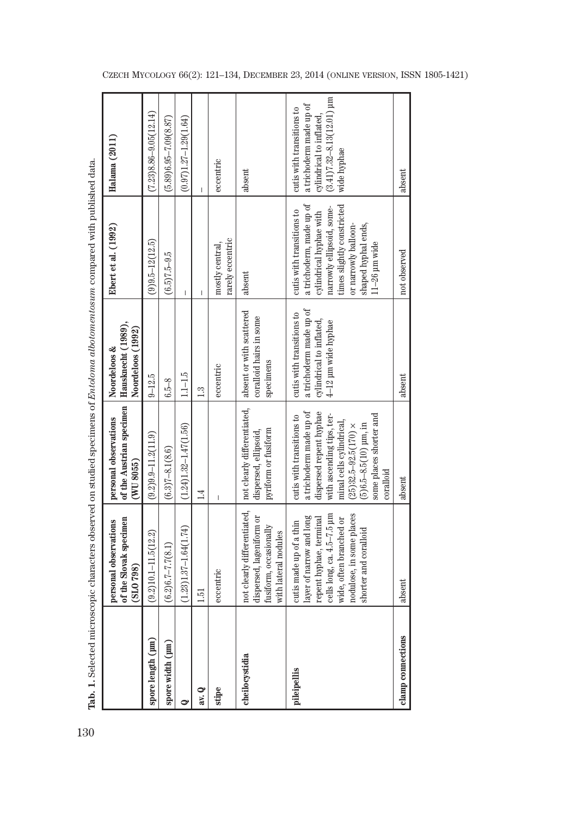|                   |                                                                                                                                                                                              | Tab. 1. Selected microscopic characters observed on studied specimens of <i>Entoloma albotomentosum</i> compared with published data.                                                                                                     |                                                                                                        |                                                                                                                                                                                                                      |                                                                                                                                  |
|-------------------|----------------------------------------------------------------------------------------------------------------------------------------------------------------------------------------------|-------------------------------------------------------------------------------------------------------------------------------------------------------------------------------------------------------------------------------------------|--------------------------------------------------------------------------------------------------------|----------------------------------------------------------------------------------------------------------------------------------------------------------------------------------------------------------------------|----------------------------------------------------------------------------------------------------------------------------------|
|                   | of the Slovak specimen<br>personal observations<br>(810798)                                                                                                                                  | of the Austrian specimen<br>personal observations<br>(WU 8055)                                                                                                                                                                            | Hausknecht (1989).<br>Noordeloos (1992)<br>Noordeloos &                                                | Ebert et al. (1992)                                                                                                                                                                                                  | Halama (2011)                                                                                                                    |
| spore length (µm) | $(9.2)10.1 - 11.5(12.2)$                                                                                                                                                                     | $(9.2)9.9 - 11.2(11.9)$                                                                                                                                                                                                                   | $9 - 12.5$                                                                                             | $(9)9.5 - 12(12.5)$                                                                                                                                                                                                  | $(7.23)8.86 - 9.05(12.14)$                                                                                                       |
| spore width (µm)  | $(6.2)6.7 - 7.7(8.1)$                                                                                                                                                                        | $(6.3)7 - 8.1(8.6)$                                                                                                                                                                                                                       | $6.5 - 8$                                                                                              | $(6.5)7.5 - 9.5$                                                                                                                                                                                                     | $(5.89)6.95 - 7.09(8.87)$                                                                                                        |
| ◒                 | $(1.23)1.37 - 1.64(1.74)$                                                                                                                                                                    | $(1.24)1.32 - 1.47(1.56)$                                                                                                                                                                                                                 | $1.1 - 1.5$                                                                                            | I                                                                                                                                                                                                                    | $(0.97)1.27 - 1.29(1.64)$                                                                                                        |
| av. Q             | 1.51                                                                                                                                                                                         | $\ddot{=}$                                                                                                                                                                                                                                | 1.3                                                                                                    |                                                                                                                                                                                                                      |                                                                                                                                  |
| stipe             | eccentric                                                                                                                                                                                    | I                                                                                                                                                                                                                                         | eccentric                                                                                              | rarely eccentric<br>mostly central                                                                                                                                                                                   | eccentric                                                                                                                        |
| cheilocystidia    | not clearly differentiated,<br>dispersed, lageniform or<br>fusiform, occasionally<br>with lateral nodules                                                                                    | not clearly differentiated,<br>pyriform or fusiform<br>dispersed, ellipsoid,                                                                                                                                                              | absent or with scattered<br>coralloid hairs in some<br>specimens                                       | absent                                                                                                                                                                                                               | absent                                                                                                                           |
| pileipellis       | cells long, ca. 4.5-7.5 µm<br>nodulose, in some places<br>layer of narrow and long<br>repent hyphae, terminal<br>wide, often branched or<br>cutis made up of a thin<br>shorter and coralloid | dispersed repent hyphae<br>a trichoderm made up of<br>with ascending tips, ter-<br>some places shorter and<br>cutis with transitions to<br>minal cells cylindrical,<br>$(5)6.5 - 8.5(10)$ µm, in<br>$(25)32.5 - 92.5(170)$ ×<br>coralloid | a trichoderm made up of<br>cutis with transitions to<br>cylindrical to inflated<br>4-12 µm wide hyphae | a trichoderm, made up of<br>times slightly constricted<br>narrowly ellipsoid, some-<br>cutis with transitions to<br>cylindrical hyphae with<br>shaped hyphal ends,<br>or narrowly balloon-<br>$11 - 26$ $\mu$ m wide | $(3.41)7.32 - 8.13(12.01)$ µm<br>a trichoderm made up of<br>cutis with transitions to<br>cylindrical to inflated.<br>wide hyphae |
| clamp connections | absent                                                                                                                                                                                       | absent                                                                                                                                                                                                                                    | absent                                                                                                 | not observed                                                                                                                                                                                                         | absent                                                                                                                           |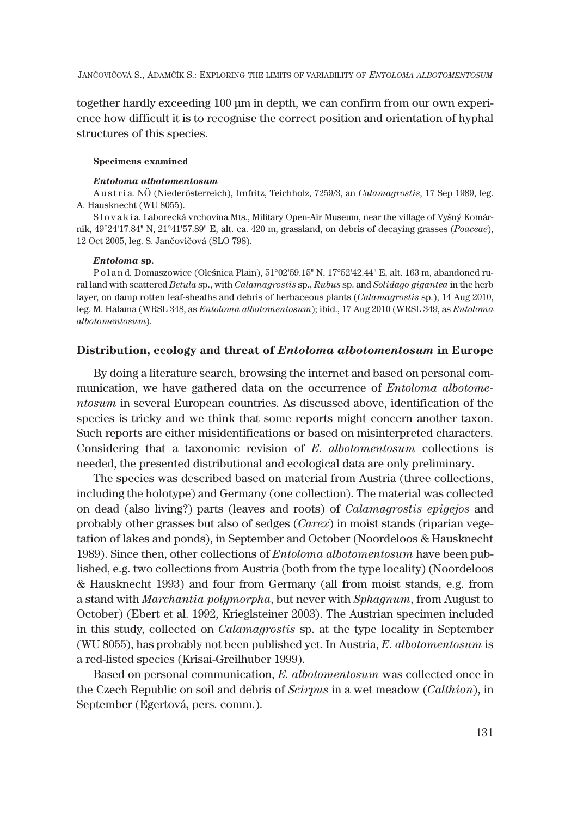together hardly exceeding 100 μm in depth, we can confirm from our own experience how difficult it is to recognise the correct position and orientation of hyphal structures of this species.

#### **Specimens examined**

#### *Entoloma albotomentosum*

A u s t r i a. NÖ (Niederösterreich), Irnfritz, Teichholz, 7259/3, an *Calamagrostis*, 17 Sep 1989, leg. A. Hausknecht (WU 8055).

S l o v a k i a. Laborecká vrchovina Mts., Military Open-Air Museum, near the village of Vyšný Komárnik, 4924'17.84" N, 2141'57.89" E, alt. ca. 420 m, grassland, on debris of decaying grasses (*Poaceae*), 12 Oct 2005, leg. S. Jančovičová (SLO 798).

#### *Entoloma* **sp.**

Poland. Domaszowice (Oleśnica Plain), 51°02'59.15" N, 17°52'42.44" E, alt. 163 m, abandoned rural land with scattered *Betula* sp., with *Calamagrostis* sp., *Rubus* sp. and *Solidago gigantea* in the herb layer, on damp rotten leaf-sheaths and debris of herbaceous plants (*Calamagrostis* sp.), 14 Aug 2010, leg. M. Halama (WRSL 348, as *Entoloma albotomentosum*); ibid., 17 Aug 2010 (WRSL 349, as *Entoloma albotomentosum*).

# **Distribution, ecology and threat of** *Entoloma albotomentosum* **in Europe**

By doing a literature search, browsing the internet and based on personal communication, we have gathered data on the occurrence of *Entoloma albotomentosum* in several European countries. As discussed above, identification of the species is tricky and we think that some reports might concern another taxon. Such reports are either misidentifications or based on misinterpreted characters. Considering that a taxonomic revision of *E*. *albotomentosum* collections is needed, the presented distributional and ecological data are only preliminary.

The species was described based on material from Austria (three collections, including the holotype) and Germany (one collection). The material was collected on dead (also living?) parts (leaves and roots) of *Calamagrostis epigejos* and probably other grasses but also of sedges (*Carex*) in moist stands (riparian vegetation of lakes and ponds), in September and October (Noordeloos & Hausknecht 1989). Since then, other collections of *Entoloma albotomentosum* have been published, e.g. two collections from Austria (both from the type locality) (Noordeloos & Hausknecht 1993) and four from Germany (all from moist stands, e.g. from a stand with *Marchantia polymorpha*, but never with *Sphagnum*, from August to October) (Ebert et al. 1992, Krieglsteiner 2003). The Austrian specimen included in this study, collected on *Calamagrostis* sp. at the type locality in September (WU 8055), has probably not been published yet. In Austria, *E. albotomentosum* is a red-listed species (Krisai-Greilhuber 1999).

Based on personal communication, *E. albotomentosum* was collected once in the Czech Republic on soil and debris of *Scirpus* in a wet meadow (*Calthion*), in September (Egertová, pers. comm.).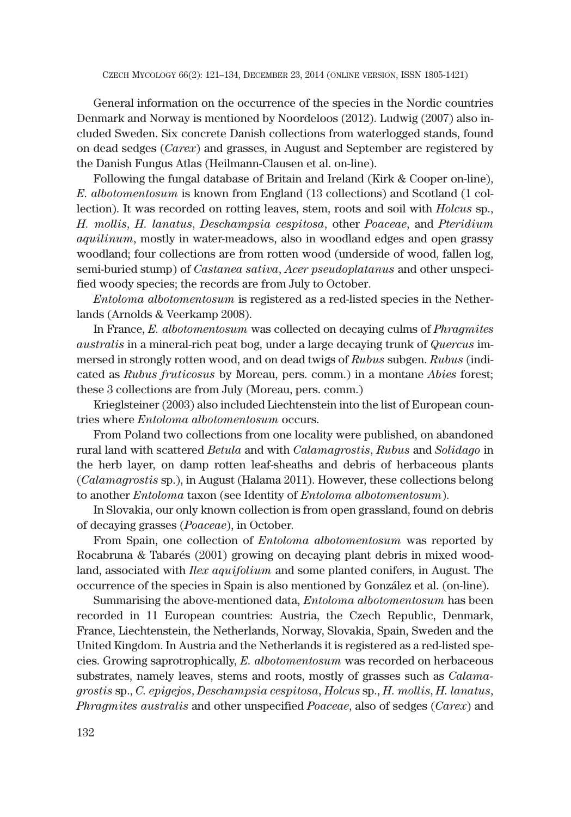General information on the occurrence of the species in the Nordic countries Denmark and Norway is mentioned by Noordeloos (2012). Ludwig (2007) also included Sweden. Six concrete Danish collections from waterlogged stands, found on dead sedges (*Carex*) and grasses, in August and September are registered by the Danish Fungus Atlas (Heilmann-Clausen et al. on-line).

Following the fungal database of Britain and Ireland (Kirk & Cooper on-line), *E. albotomentosum* is known from England (13 collections) and Scotland (1 collection). It was recorded on rotting leaves, stem, roots and soil with *Holcus* sp., *H. mollis*, *H. lanatus*, *Deschampsia cespitosa*, other *Poaceae*, and *Pteridium aquilinum*, mostly in water-meadows, also in woodland edges and open grassy woodland; four collections are from rotten wood (underside of wood, fallen log, semi-buried stump) of *Castanea sativa*, *Acer pseudoplatanus* and other unspecified woody species; the records are from July to October.

*Entoloma albotomentosum* is registered as a red-listed species in the Netherlands (Arnolds & Veerkamp 2008).

In France, *E. albotomentosum* was collected on decaying culms of *Phragmites australis* in a mineral-rich peat bog, under a large decaying trunk of *Quercus* immersed in strongly rotten wood, and on dead twigs of *Rubus* subgen. *Rubus* (indicated as *Rubus fruticosus* by Moreau, pers. comm.) in a montane *Abies* forest; these 3 collections are from July (Moreau, pers. comm.)

Krieglsteiner (2003) also included Liechtenstein into the list of European countries where *Entoloma albotomentosum* occurs.

From Poland two collections from one locality were published, on abandoned rural land with scattered *Betula* and with *Calamagrostis*, *Rubus* and *Solidago* in the herb layer, on damp rotten leaf-sheaths and debris of herbaceous plants (*Calamagrostis* sp.), in August (Halama 2011). However, these collections belong to another *Entoloma* taxon (see Identity of *Entoloma albotomentosum*).

In Slovakia, our only known collection is from open grassland, found on debris of decaying grasses (*Poaceae*), in October.

From Spain, one collection of *Entoloma albotomentosum* was reported by Rocabruna & Tabarés (2001) growing on decaying plant debris in mixed woodland, associated with *Ilex aquifolium* and some planted conifers, in August. The occurrence of the species in Spain is also mentioned by González et al. (on-line).

Summarising the above-mentioned data, *Entoloma albotomentosum* has been recorded in 11 European countries: Austria, the Czech Republic, Denmark, France, Liechtenstein, the Netherlands, Norway, Slovakia, Spain, Sweden and the United Kingdom. In Austria and the Netherlands it is registered as a red-listed species. Growing saprotrophically, *E. albotomentosum* was recorded on herbaceous substrates, namely leaves, stems and roots, mostly of grasses such as *Calamagrostis* sp., *C. epigejos*, *Deschampsia cespitosa*, *Holcus* sp., *H. mollis*, *H. lanatus*, *Phragmites australis* and other unspecified *Poaceae*, also of sedges (*Carex*) and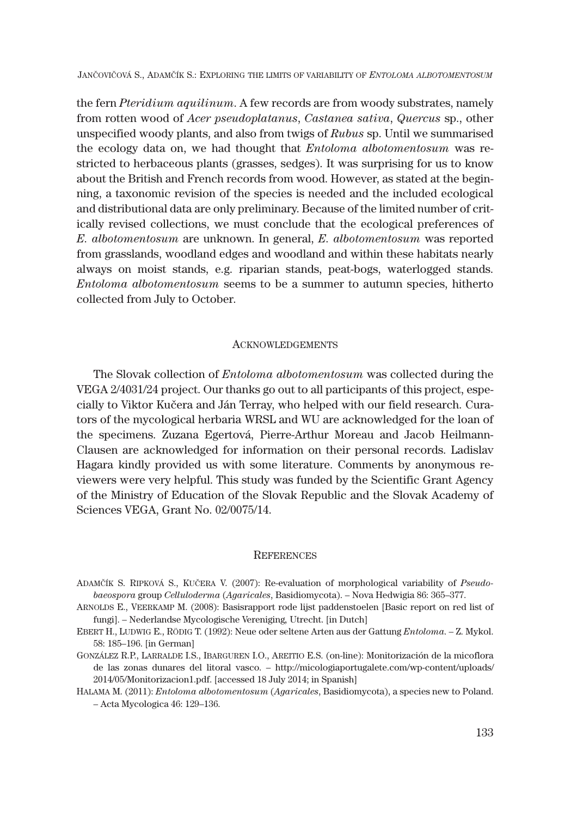the fern *Pteridium aquilinum*. A few records are from woody substrates, namely from rotten wood of *Acer pseudoplatanus*, *Castanea sativa*, *Quercus* sp., other unspecified woody plants, and also from twigs of *Rubus* sp. Until we summarised the ecology data on, we had thought that *Entoloma albotomentosum* was restricted to herbaceous plants (grasses, sedges). It was surprising for us to know about the British and French records from wood. However, as stated at the beginning, a taxonomic revision of the species is needed and the included ecological and distributional data are only preliminary. Because of the limited number of critically revised collections, we must conclude that the ecological preferences of *E. albotomentosum* are unknown. In general, *E. albotomentosum* was reported from grasslands, woodland edges and woodland and within these habitats nearly always on moist stands, e.g. riparian stands, peat-bogs, waterlogged stands. *Entoloma albotomentosum* seems to be a summer to autumn species, hitherto collected from July to October.

# ACKNOWLEDGEMENTS

The Slovak collection of *Entoloma albotomentosum* was collected during the VEGA 2/4031/24 project. Our thanks go out to all participants of this project, especially to Viktor Kučera and Ján Terray, who helped with our field research. Curators of the mycological herbaria WRSL and WU are acknowledged for the loan of the specimens. Zuzana Egertová, Pierre-Arthur Moreau and Jacob Heilmann-Clausen are acknowledged for information on their personal records. Ladislav Hagara kindly provided us with some literature. Comments by anonymous reviewers were very helpful. This study was funded by the Scientific Grant Agency of the Ministry of Education of the Slovak Republic and the Slovak Academy of Sciences VEGA, Grant No. 02/0075/14.

### **REFERENCES**

- ADAMČÍK S. RIPKOVÁ S., KUČERA V. (2007): Re-evaluation of morphological variability of *Pseudobaeospora* group *Celluloderma* (*Agaricales*, Basidiomycota). – Nova Hedwigia 86: 365–377.
- ARNOLDS E., VEERKAMP M. (2008): Basisrapport rode lijst paddenstoelen [Basic report on red list of fungi]. – Nederlandse Mycologische Vereniging*,* Utrecht. [in Dutch]
- EBERT H., LUDWIG E., RÖDIG T. (1992): Neue oder seltene Arten aus der Gattung *Entoloma*. Z. Mykol. 58: 185–196. [in German]
- GONZÁLEZ R.P., LARRALDE I.S., IBARGUREN I.O., AREITIO E.S. (on-line): Monitorización de la micoflora de las zonas dunares del litoral vasco. – http://micologiaportugalete.com/wp-content/uploads/ 2014/05/Monitorizacion1.pdf. [accessed 18 July 2014; in Spanish]
- HALAMA M. (2011): *Entoloma albotomentosum* (*Agaricales*, Basidiomycota), a species new to Poland. – Acta Mycologica 46: 129–136.